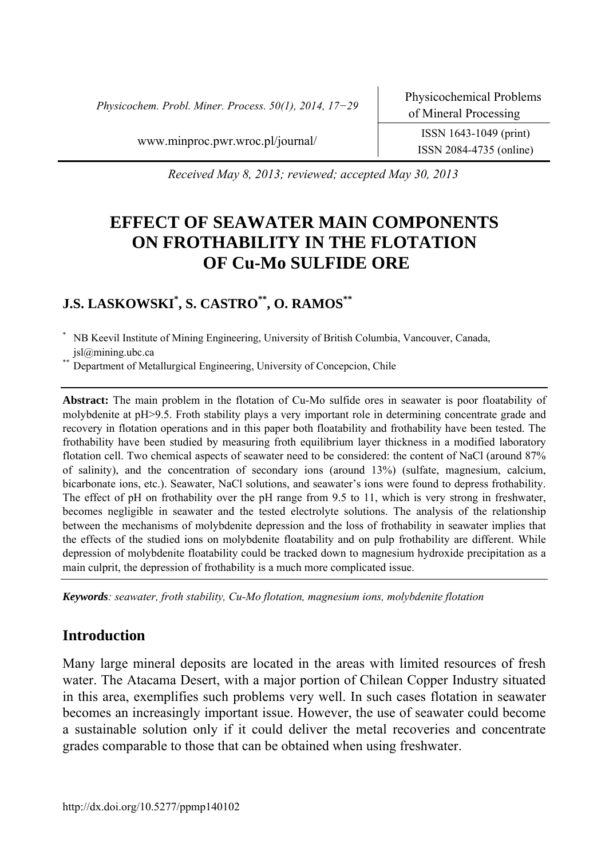*Physicochem. Probl. Miner. Process. 50(1), 2014, 17−29* 

ISSN 2084-4735 (online)

www.minproc.pwr.wroc.pl/journal/ ISSN 1643-1049 (print)

*Received May 8, 2013; reviewed; accepted May 30, 2013* 

# **EFFECT OF SEAWATER MAIN COMPONENTS ON FROTHABILITY IN THE FLOTATION OF Cu-Mo SULFIDE ORE**

# **J.S. LASKOWSKI\* , S. CASTRO\*\*, O. RAMOS\*\***

\* NB Keevil Institute of Mining Engineering, University of British Columbia, Vancouver, Canada, jsl@mining.ubc.ca

Department of Metallurgical Engineering, University of Concepcion, Chile

**Abstract:** The main problem in the flotation of Cu-Mo sulfide ores in seawater is poor floatability of molybdenite at pH>9.5. Froth stability plays a very important role in determining concentrate grade and recovery in flotation operations and in this paper both floatability and frothability have been tested. The frothability have been studied by measuring froth equilibrium layer thickness in a modified laboratory flotation cell. Two chemical aspects of seawater need to be considered: the content of NaCl (around 87% of salinity), and the concentration of secondary ions (around 13%) (sulfate, magnesium, calcium, bicarbonate ions, etc.). Seawater, NaCl solutions, and seawater's ions were found to depress frothability. The effect of pH on frothability over the pH range from 9.5 to 11, which is very strong in freshwater, becomes negligible in seawater and the tested electrolyte solutions. The analysis of the relationship between the mechanisms of molybdenite depression and the loss of frothability in seawater implies that the effects of the studied ions on molybdenite floatability and on pulp frothability are different. While depression of molybdenite floatability could be tracked down to magnesium hydroxide precipitation as a main culprit, the depression of frothability is a much more complicated issue.

*Keywords: seawater, froth stability, Cu-Mo flotation, magnesium ions, molybdenite flotation* 

## **Introduction**

Many large mineral deposits are located in the areas with limited resources of fresh water. The Atacama Desert, with a major portion of Chilean Copper Industry situated in this area, exemplifies such problems very well. In such cases flotation in seawater becomes an increasingly important issue. However, the use of seawater could become a sustainable solution only if it could deliver the metal recoveries and concentrate grades comparable to those that can be obtained when using freshwater.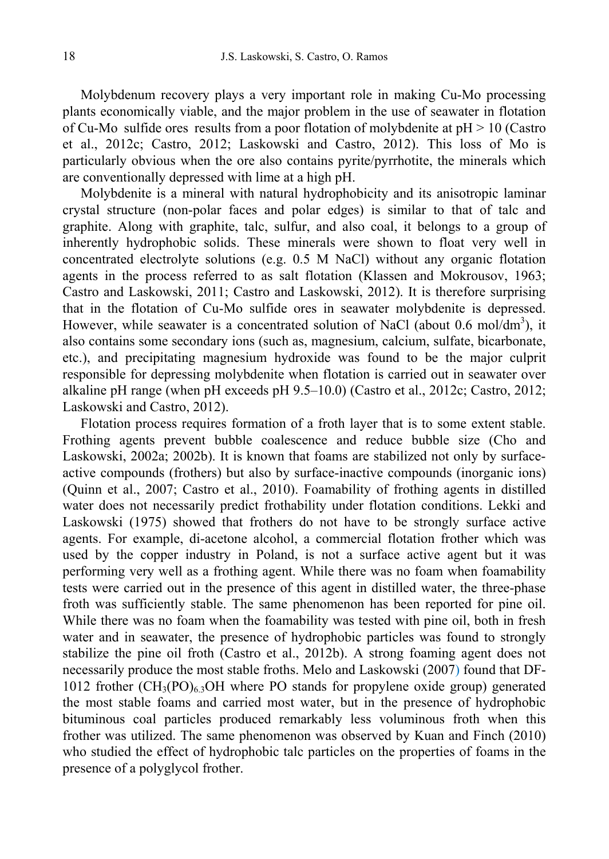Molybdenum recovery plays a very important role in making Cu-Mo processing plants economically viable, and the major problem in the use of seawater in flotation of Cu-Mo sulfide ores results from a poor flotation of molybdenite at pH > 10 (Castro et al., 2012c; Castro, 2012; Laskowski and Castro, 2012). This loss of Mo is particularly obvious when the ore also contains pyrite/pyrrhotite, the minerals which are conventionally depressed with lime at a high pH.

Molybdenite is a mineral with natural hydrophobicity and its anisotropic laminar crystal structure (non-polar faces and polar edges) is similar to that of talc and graphite. Along with graphite, talc, sulfur, and also coal, it belongs to a group of inherently hydrophobic solids. These minerals were shown to float very well in concentrated electrolyte solutions (e.g. 0.5 M NaCl) without any organic flotation agents in the process referred to as salt flotation (Klassen and Mokrousov, 1963; Castro and Laskowski, 2011; Castro and Laskowski, 2012). It is therefore surprising that in the flotation of Cu-Mo sulfide ores in seawater molybdenite is depressed. However, while seawater is a concentrated solution of NaCl (about 0.6 mol/dm<sup>3</sup>), it also contains some secondary ions (such as, magnesium, calcium, sulfate, bicarbonate, etc.), and precipitating magnesium hydroxide was found to be the major culprit responsible for depressing molybdenite when flotation is carried out in seawater over alkaline pH range (when pH exceeds pH 9.5–10.0) (Castro et al., 2012c; Castro, 2012; Laskowski and Castro, 2012).

Flotation process requires formation of a froth layer that is to some extent stable. Frothing agents prevent bubble coalescence and reduce bubble size (Cho and Laskowski, 2002a; 2002b). It is known that foams are stabilized not only by surfaceactive compounds (frothers) but also by surface-inactive compounds (inorganic ions) (Quinn et al., 2007; Castro et al., 2010). Foamability of frothing agents in distilled water does not necessarily predict frothability under flotation conditions. Lekki and Laskowski (1975) showed that frothers do not have to be strongly surface active agents. For example, di-acetone alcohol, a commercial flotation frother which was used by the copper industry in Poland, is not a surface active agent but it was performing very well as a frothing agent. While there was no foam when foamability tests were carried out in the presence of this agent in distilled water, the three-phase froth was sufficiently stable. The same phenomenon has been reported for pine oil. While there was no foam when the foamability was tested with pine oil, both in fresh water and in seawater, the presence of hydrophobic particles was found to strongly stabilize the pine oil froth (Castro et al., 2012b). A strong foaming agent does not necessarily produce the most stable froths. Melo and Laskowski (2007) found that DF-1012 frother  $(CH_3(PO)_6$ , OH where PO stands for propylene oxide group) generated the most stable foams and carried most water, but in the presence of hydrophobic bituminous coal particles produced remarkably less voluminous froth when this frother was utilized. The same phenomenon was observed by Kuan and Finch (2010) who studied the effect of hydrophobic talc particles on the properties of foams in the presence of a polyglycol frother.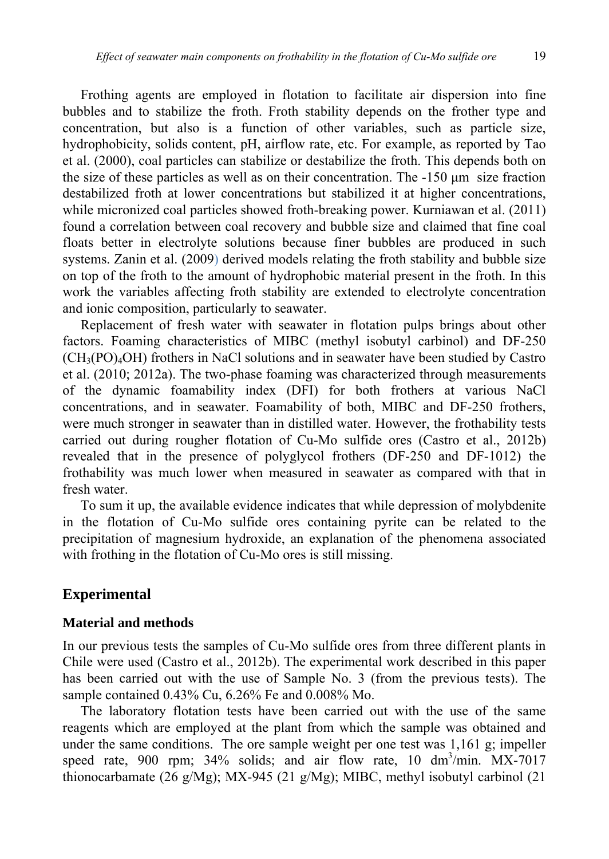Frothing agents are employed in flotation to facilitate air dispersion into fine bubbles and to stabilize the froth. Froth stability depends on the frother type and concentration, but also is a function of other variables, such as particle size, hydrophobicity, solids content, pH, airflow rate, etc. For example, as reported by Tao et al. (2000), coal particles can stabilize or destabilize the froth. This depends both on the size of these particles as well as on their concentration. The -150 µm size fraction destabilized froth at lower concentrations but stabilized it at higher concentrations, while micronized coal particles showed froth-breaking power. Kurniawan et al. (2011) found a correlation between coal recovery and bubble size and claimed that fine coal floats better in electrolyte solutions because finer bubbles are produced in such systems. Zanin et al. (2009) derived models relating the froth stability and bubble size on top of the froth to the amount of hydrophobic material present in the froth. In this work the variables affecting froth stability are extended to electrolyte concentration and ionic composition, particularly to seawater.

Replacement of fresh water with seawater in flotation pulps brings about other factors. Foaming characteristics of MIBC (methyl isobutyl carbinol) and DF-250  $(CH<sub>3</sub>(PO)<sub>4</sub>OH)$  frothers in NaCl solutions and in seawater have been studied by Castro et al. (2010; 2012a). The two-phase foaming was characterized through measurements of the dynamic foamability index (DFI) for both frothers at various NaCl concentrations, and in seawater. Foamability of both, MIBC and DF-250 frothers, were much stronger in seawater than in distilled water. However, the frothability tests carried out during rougher flotation of Cu-Mo sulfide ores (Castro et al., 2012b) revealed that in the presence of polyglycol frothers (DF-250 and DF-1012) the frothability was much lower when measured in seawater as compared with that in fresh water.

To sum it up, the available evidence indicates that while depression of molybdenite in the flotation of Cu-Mo sulfide ores containing pyrite can be related to the precipitation of magnesium hydroxide, an explanation of the phenomena associated with frothing in the flotation of Cu-Mo ores is still missing.

### **Experimental**

#### **Material and methods**

In our previous tests the samples of Cu-Mo sulfide ores from three different plants in Chile were used (Castro et al., 2012b). The experimental work described in this paper has been carried out with the use of Sample No. 3 (from the previous tests). The sample contained 0.43% Cu, 6.26% Fe and 0.008% Mo.

The laboratory flotation tests have been carried out with the use of the same reagents which are employed at the plant from which the sample was obtained and under the same conditions. The ore sample weight per one test was 1,161 g; impeller speed rate, 900 rpm;  $34\%$  solids; and air flow rate, 10 dm<sup>3</sup>/min. MX-7017 thionocarbamate (26 g/Mg); MX-945 (21 g/Mg); MIBC, methyl isobutyl carbinol (21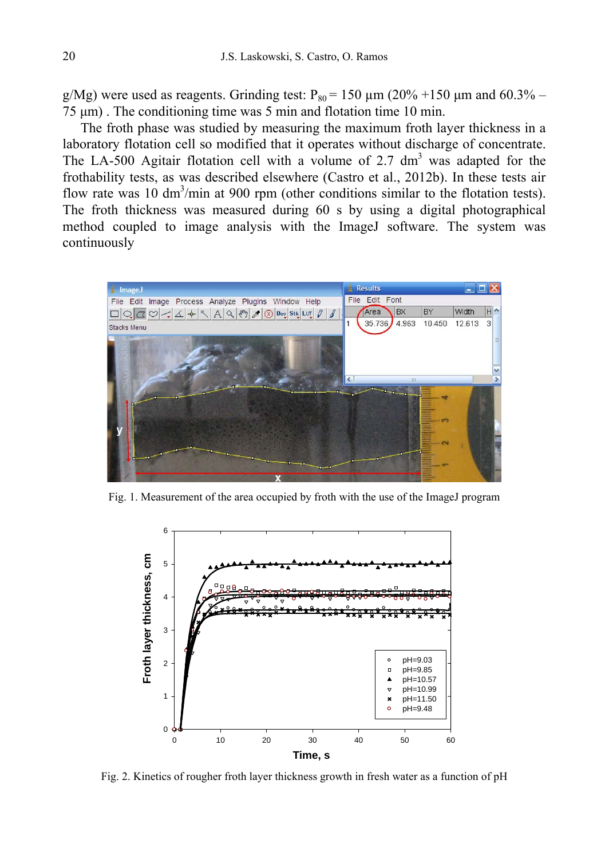g/Mg) were used as reagents. Grinding test:  $P_{80} = 150 \mu m (20\% + 150 \mu m)$  and 60.3% – 75 µm) . The conditioning time was 5 min and flotation time 10 min.

The froth phase was studied by measuring the maximum froth layer thickness in a laboratory flotation cell so modified that it operates without discharge of concentrate. The LA-500 Agitair flotation cell with a volume of 2.7  $\text{dm}^3$  was adapted for the frothability tests, as was described elsewhere (Castro et al., 2012b). In these tests air flow rate was 10  $\text{dm}^3/\text{min}$  at 900 rpm (other conditions similar to the flotation tests). The froth thickness was measured during 60 s by using a digital photographical method coupled to image analysis with the ImageJ software. The system was continuously



Fig. 1. Measurement of the area occupied by froth with the use of the ImageJ program



Fig. 2. Kinetics of rougher froth layer thickness growth in fresh water as a function of pH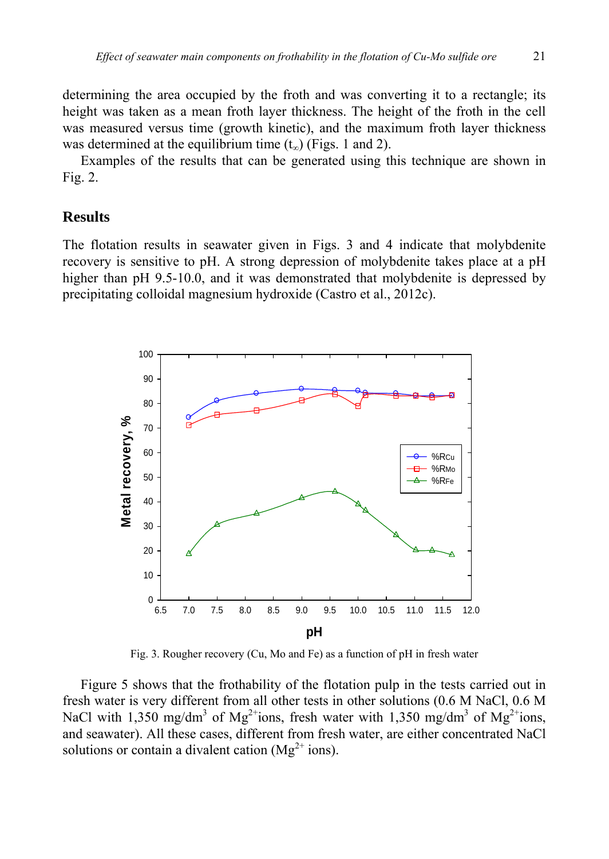determining the area occupied by the froth and was converting it to a rectangle; its height was taken as a mean froth layer thickness. The height of the froth in the cell was measured versus time (growth kinetic), and the maximum froth layer thickness was determined at the equilibrium time  $(t_{\infty})$  (Figs. 1 and 2).

Examples of the results that can be generated using this technique are shown in Fig. 2.

### **Results**

The flotation results in seawater given in Figs. 3 and 4 indicate that molybdenite recovery is sensitive to pH. A strong depression of molybdenite takes place at a pH higher than pH 9.5-10.0, and it was demonstrated that molybdenite is depressed by precipitating colloidal magnesium hydroxide (Castro et al., 2012c).



Fig. 3. Rougher recovery (Cu, Mo and Fe) as a function of pH in fresh water

Figure 5 shows that the frothability of the flotation pulp in the tests carried out in fresh water is very different from all other tests in other solutions (0.6 M NaCl, 0.6 M NaCl with 1,350 mg/dm<sup>3</sup> of Mg<sup>2+</sup>ions, fresh water with 1,350 mg/dm<sup>3</sup> of Mg<sup>2+</sup>ions, and seawater). All these cases, different from fresh water, are either concentrated NaCl solutions or contain a divalent cation ( $Mg^{2+}$  ions).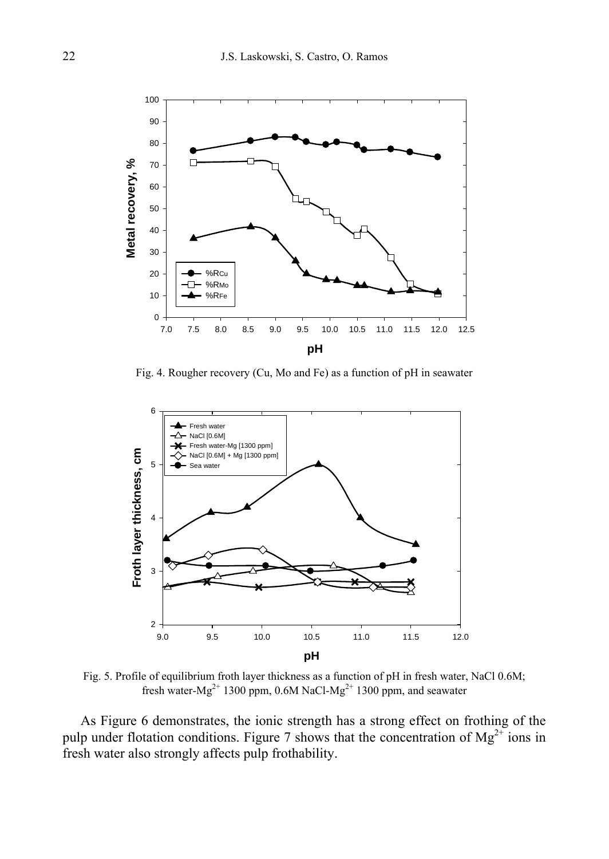

Fig. 4. Rougher recovery (Cu, Mo and Fe) as a function of pH in seawater



Fig. 5. Profile of equilibrium froth layer thickness as a function of pH in fresh water, NaCl 0.6M; fresh water- $Mg^{2+}$  1300 ppm, 0.6M NaCl- $Mg^{2+}$  1300 ppm, and seawater

As Figure 6 demonstrates, the ionic strength has a strong effect on frothing of the pulp under flotation conditions. Figure 7 shows that the concentration of  $Mg^{2+}$  ions in fresh water also strongly affects pulp frothability.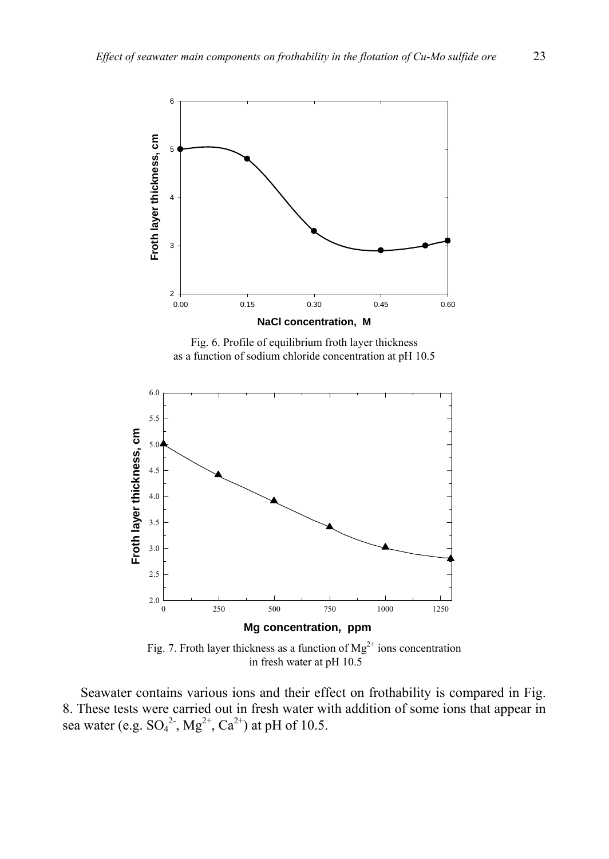



Fig. 7. Froth layer thickness as a function of  $Mg^{2+}$  ions concentration in fresh water at pH 10.5

Seawater contains various ions and their effect on frothability is compared in Fig. 8. These tests were carried out in fresh water with addition of some ions that appear in sea water (e.g.  $SO_4^2$ <sup>2</sup>,  $Mg^{2+}$ ,  $Ca^{2+}$ ) at pH of 10.5.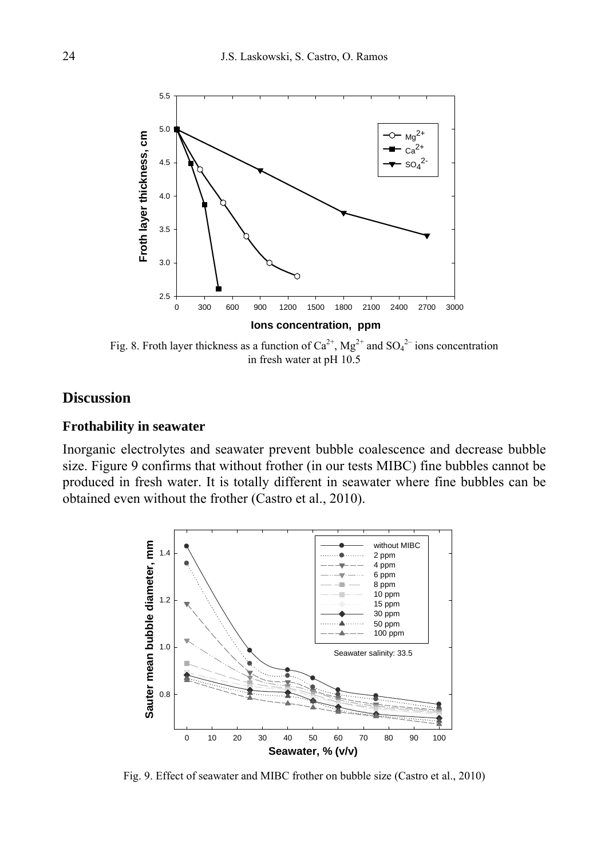

Fig. 8. Froth layer thickness as a function of  $Ca^{2+}$ , Mg<sup>2+</sup> and SO<sub>4</sub><sup>2-</sup> ions concentration in fresh water at pH 10.5

# **Discussion**

### **Frothability in seawater**

Inorganic electrolytes and seawater prevent bubble coalescence and decrease bubble size. Figure 9 confirms that without frother (in our tests MIBC) fine bubbles cannot be produced in fresh water. It is totally different in seawater where fine bubbles can be obtained even without the frother (Castro et al., 2010).



Fig. 9. Effect of seawater and MIBC frother on bubble size (Castro et al., 2010)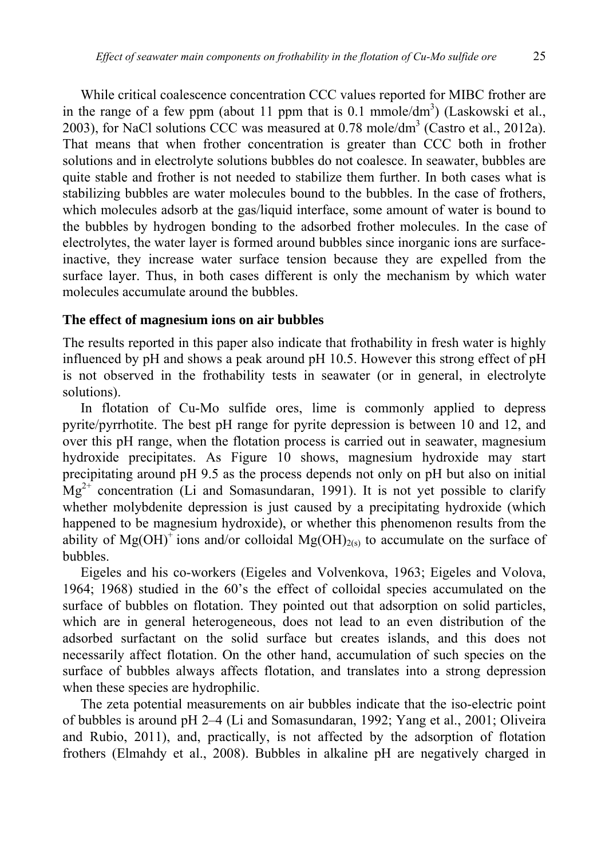While critical coalescence concentration CCC values reported for MIBC frother are in the range of a few ppm (about 11 ppm that is  $0.1 \text{ mmole/dm}^3$ ) (Laskowski et al., 2003), for NaCl solutions CCC was measured at  $0.78$  mole/dm<sup>3</sup> (Castro et al., 2012a). That means that when frother concentration is greater than CCC both in frother solutions and in electrolyte solutions bubbles do not coalesce. In seawater, bubbles are quite stable and frother is not needed to stabilize them further. In both cases what is stabilizing bubbles are water molecules bound to the bubbles. In the case of frothers, which molecules adsorb at the gas/liquid interface, some amount of water is bound to the bubbles by hydrogen bonding to the adsorbed frother molecules. In the case of electrolytes, the water layer is formed around bubbles since inorganic ions are surfaceinactive, they increase water surface tension because they are expelled from the surface layer. Thus, in both cases different is only the mechanism by which water molecules accumulate around the bubbles.

#### **The effect of magnesium ions on air bubbles**

The results reported in this paper also indicate that frothability in fresh water is highly influenced by pH and shows a peak around pH 10.5. However this strong effect of pH is not observed in the frothability tests in seawater (or in general, in electrolyte solutions).

In flotation of Cu-Mo sulfide ores, lime is commonly applied to depress pyrite/pyrrhotite. The best pH range for pyrite depression is between 10 and 12, and over this pH range, when the flotation process is carried out in seawater, magnesium hydroxide precipitates. As Figure 10 shows, magnesium hydroxide may start precipitating around pH 9.5 as the process depends not only on pH but also on initial  $Mg^{2+}$  concentration (Li and Somasundaran, 1991). It is not yet possible to clarify whether molybdenite depression is just caused by a precipitating hydroxide (which happened to be magnesium hydroxide), or whether this phenomenon results from the ability of Mg(OH)<sup>+</sup> ions and/or colloidal Mg(OH)<sub>2(s)</sub> to accumulate on the surface of bubbles.

Eigeles and his co-workers (Eigeles and Volvenkova, 1963; Eigeles and Volova, 1964; 1968) studied in the 60's the effect of colloidal species accumulated on the surface of bubbles on flotation. They pointed out that adsorption on solid particles, which are in general heterogeneous, does not lead to an even distribution of the adsorbed surfactant on the solid surface but creates islands, and this does not necessarily affect flotation. On the other hand, accumulation of such species on the surface of bubbles always affects flotation, and translates into a strong depression when these species are hydrophilic.

The zeta potential measurements on air bubbles indicate that the iso-electric point of bubbles is around pH 2–4 (Li and Somasundaran, 1992; Yang et al., 2001; Oliveira and Rubio, 2011), and, practically, is not affected by the adsorption of flotation frothers (Elmahdy et al., 2008). Bubbles in alkaline pH are negatively charged in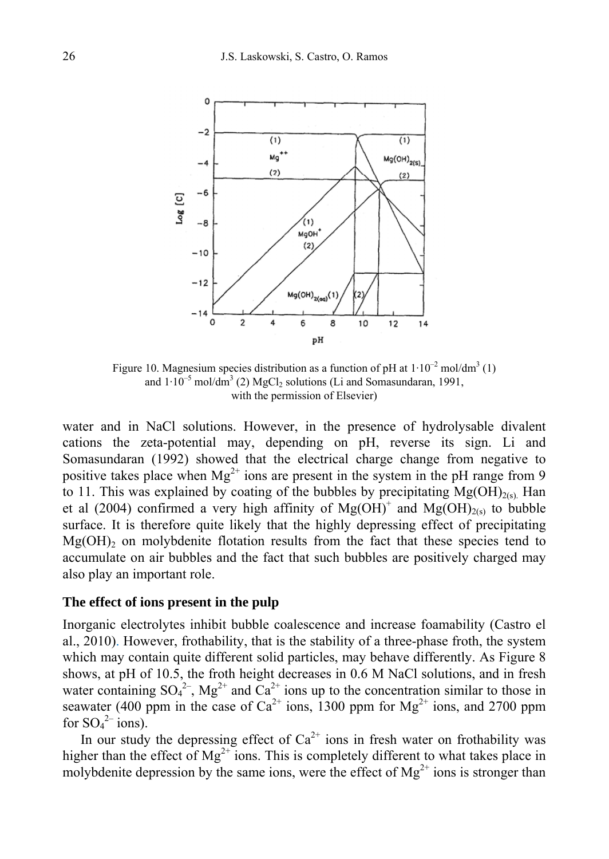

Figure 10. Magnesium species distribution as a function of pH at  $1 \cdot 10^{-2}$  mol/dm<sup>3</sup> (1) and  $1 \cdot 10^{-5}$  mol/dm<sup>3</sup> (2) MgCl<sub>2</sub> solutions (Li and Somasundaran, 1991, with the permission of Elsevier)

water and in NaCl solutions. However, in the presence of hydrolysable divalent cations the zeta-potential may, depending on pH, reverse its sign. Li and Somasundaran (1992) showed that the electrical charge change from negative to positive takes place when  $Mg^{2+}$  ions are present in the system in the pH range from 9 to 11. This was explained by coating of the bubbles by precipitating  $Mg(OH)_{2(s)}$ . Han et al (2004) confirmed a very high affinity of  $Mg(OH)^+$  and  $Mg(OH)_{2(s)}$  to bubble surface. It is therefore quite likely that the highly depressing effect of precipitating  $Mg(OH)$ <sub>2</sub> on molybdenite flotation results from the fact that these species tend to accumulate on air bubbles and the fact that such bubbles are positively charged may also play an important role.

#### **The effect of ions present in the pulp**

Inorganic electrolytes inhibit bubble coalescence and increase foamability (Castro el al., 2010). However, frothability, that is the stability of a three-phase froth, the system which may contain quite different solid particles, may behave differently. As Figure 8 shows, at pH of 10.5, the froth height decreases in 0.6 M NaCl solutions, and in fresh water containing  $SO_4^2$ ,  $Mg^{2+}$  and  $Ca^{2+}$  ions up to the concentration similar to those in seawater (400 ppm in the case of  $Ca^{2+}$  ions, 1300 ppm for  $Mg^{2+}$  ions, and 2700 ppm for  $SO_4^2$  ions).

In our study the depressing effect of  $Ca^{2+}$  ions in fresh water on frothability was higher than the effect of  $Mg^{2+}$  ions. This is completely different to what takes place in molybdenite depression by the same ions, were the effect of  $Mg^{2+}$  ions is stronger than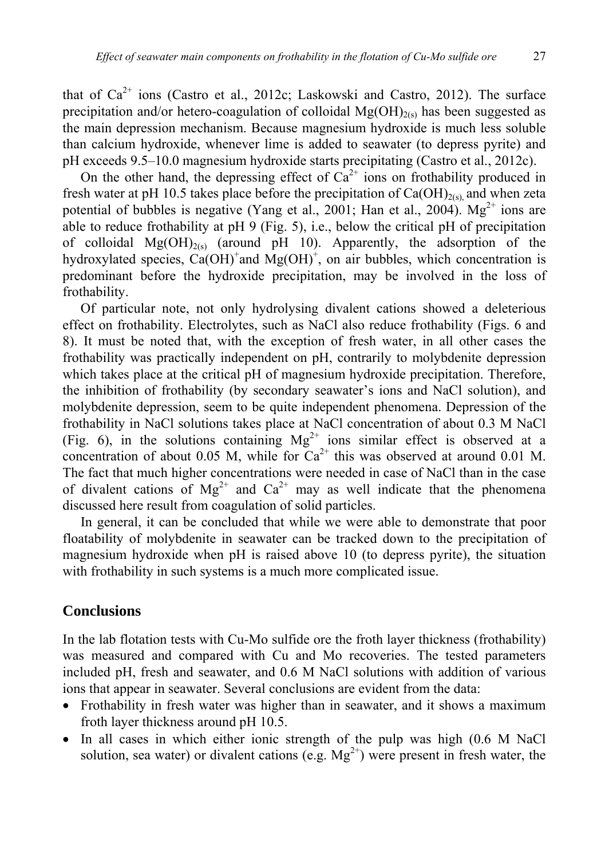that of  $Ca^{2+}$  ions (Castro et al., 2012c; Laskowski and Castro, 2012). The surface precipitation and/or hetero-coagulation of colloidal  $Mg(OH)_{2(s)}$  has been suggested as the main depression mechanism. Because magnesium hydroxide is much less soluble than calcium hydroxide, whenever lime is added to seawater (to depress pyrite) and pH exceeds 9.5–10.0 magnesium hydroxide starts precipitating (Castro et al., 2012c).

On the other hand, the depressing effect of  $Ca^{2+}$  ions on frothability produced in fresh water at pH 10.5 takes place before the precipitation of  $Ca(OH)_{2(s)}$  and when zeta potential of bubbles is negative (Yang et al., 2001; Han et al., 2004).  $Mg^{2+}$  ions are able to reduce frothability at pH 9 (Fig. 5), i.e., below the critical pH of precipitation of colloidal  $Mg(OH)_{2(s)}$  (around pH 10). Apparently, the adsorption of the hydroxylated species,  $Ca(OH)^{+}$  and  $Mg(OH)^{+}$ , on air bubbles, which concentration is predominant before the hydroxide precipitation, may be involved in the loss of frothability.

Of particular note, not only hydrolysing divalent cations showed a deleterious effect on frothability. Electrolytes, such as NaCl also reduce frothability (Figs. 6 and 8). It must be noted that, with the exception of fresh water, in all other cases the frothability was practically independent on pH, contrarily to molybdenite depression which takes place at the critical pH of magnesium hydroxide precipitation. Therefore, the inhibition of frothability (by secondary seawater's ions and NaCl solution), and molybdenite depression, seem to be quite independent phenomena. Depression of the frothability in NaCl solutions takes place at NaCl concentration of about 0.3 M NaCl (Fig. 6), in the solutions containing  $Mg^{2+}$  ions similar effect is observed at a concentration of about 0.05 M, while for  $Ca^{2+}$  this was observed at around 0.01 M. The fact that much higher concentrations were needed in case of NaCl than in the case of divalent cations of  $Mg^{2+}$  and  $Ca^{2+}$  may as well indicate that the phenomena discussed here result from coagulation of solid particles.

In general, it can be concluded that while we were able to demonstrate that poor floatability of molybdenite in seawater can be tracked down to the precipitation of magnesium hydroxide when pH is raised above 10 (to depress pyrite), the situation with frothability in such systems is a much more complicated issue.

### **Conclusions**

In the lab flotation tests with Cu-Mo sulfide ore the froth layer thickness (frothability) was measured and compared with Cu and Mo recoveries. The tested parameters included pH, fresh and seawater, and 0.6 M NaCl solutions with addition of various ions that appear in seawater. Several conclusions are evident from the data:

- Frothability in fresh water was higher than in seawater, and it shows a maximum froth layer thickness around pH 10.5.
- In all cases in which either ionic strength of the pulp was high (0.6 M NaCl solution, sea water) or divalent cations (e.g.  $Mg^{2+}$ ) were present in fresh water, the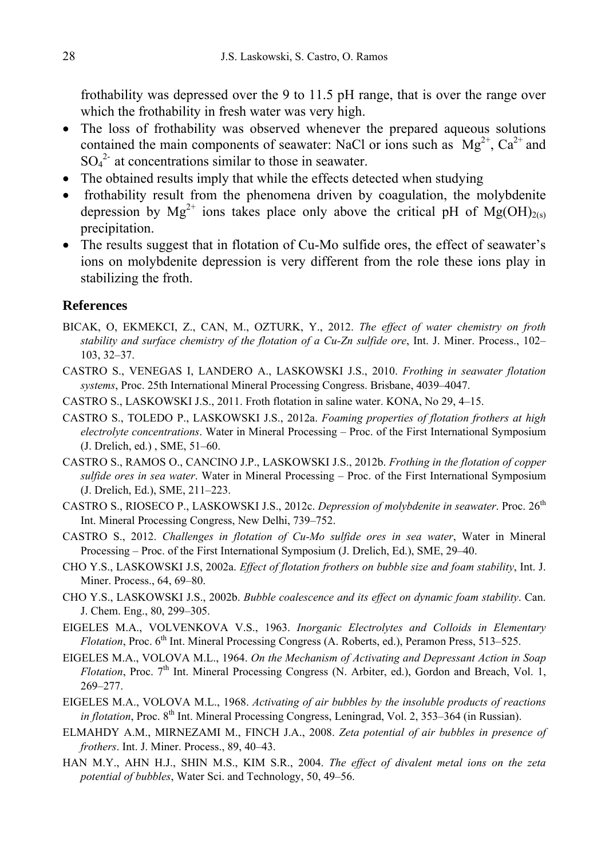frothability was depressed over the 9 to 11.5 pH range, that is over the range over which the frothability in fresh water was very high.

- The loss of frothability was observed whenever the prepared aqueous solutions contained the main components of seawater: NaCl or ions such as  $Mg^{2+}$ ,  $Ca^{2+}$  and  $SO_4^2$ <sup>-</sup> at concentrations similar to those in seawater.
- The obtained results imply that while the effects detected when studying
- frothability result from the phenomena driven by coagulation, the molybdenite depression by  $Mg^{2+}$  ions takes place only above the critical pH of  $Mg(OH)_{2(s)}$ precipitation.
- The results suggest that in flotation of Cu-Mo sulfide ores, the effect of seawater's ions on molybdenite depression is very different from the role these ions play in stabilizing the froth.

### **References**

- BICAK, O, EKMEKCI, Z., CAN, M., OZTURK, Y., 2012. *The effect of water chemistry on froth stability and surface chemistry of the flotation of a Cu-Zn sulfide ore*, Int. J. Miner. Process., 102– 103, 32–37.
- CASTRO S., VENEGAS I, LANDERO A., LASKOWSKI J.S., 2010. *Frothing in seawater flotation systems*, Proc. 25th International Mineral Processing Congress. Brisbane, 4039–4047.
- CASTRO S., LASKOWSKI J.S., 2011. Froth flotation in saline water. KONA, No 29, 4–15.
- CASTRO S., TOLEDO P., LASKOWSKI J.S., 2012a. *Foaming properties of flotation frothers at high electrolyte concentrations*. Water in Mineral Processing – Proc. of the First International Symposium (J. Drelich, ed.) , SME, 51–60.
- CASTRO S., RAMOS O., CANCINO J.P., LASKOWSKI J.S., 2012b. *Frothing in the flotation of copper sulfide ores in sea water*. Water in Mineral Processing – Proc. of the First International Symposium (J. Drelich, Ed.), SME, 211–223.
- CASTRO S., RIOSECO P., LASKOWSKI J.S., 2012c. *Depression of molybdenite in seawater*. Proc. 26th Int. Mineral Processing Congress, New Delhi, 739–752.
- CASTRO S., 2012. *Challenges in flotation of Cu-Mo sulfide ores in sea water*, Water in Mineral Processing – Proc. of the First International Symposium (J. Drelich, Ed.), SME, 29–40.
- CHO Y.S., LASKOWSKI J.S, 2002a. *Effect of flotation frothers on bubble size and foam stability*, Int. J. Miner. Process., 64, 69–80.
- CHO Y.S., LASKOWSKI J.S., 2002b. *Bubble coalescence and its effect on dynamic foam stability*. Can. J. Chem. Eng., 80, 299–305.
- EIGELES M.A., VOLVENKOVA V.S., 1963. *Inorganic Electrolytes and Colloids in Elementary Flotation*, Proc. 6<sup>th</sup> Int. Mineral Processing Congress (A. Roberts, ed.), Peramon Press, 513–525.
- EIGELES M.A., VOLOVA M.L., 1964. *On the Mechanism of Activating and Depressant Action in Soap Flotation*, Proc. 7<sup>th</sup> Int. Mineral Processing Congress (N. Arbiter, ed.), Gordon and Breach, Vol. 1, 269–277.
- EIGELES M.A., VOLOVA M.L., 1968. *Activating of air bubbles by the insoluble products of reactions in flotation*, Proc. 8<sup>th</sup> Int. Mineral Processing Congress, Leningrad, Vol. 2, 353–364 (in Russian).
- ELMAHDY A.M., MIRNEZAMI M., FINCH J.A., 2008. *Zeta potential of air bubbles in presence of frothers*. Int. J. Miner. Process., 89, 40–43.
- HAN M.Y., AHN H.J., SHIN M.S., KIM S.R., 2004. *The effect of divalent metal ions on the zeta potential of bubbles*, Water Sci. and Technology, 50, 49–56.